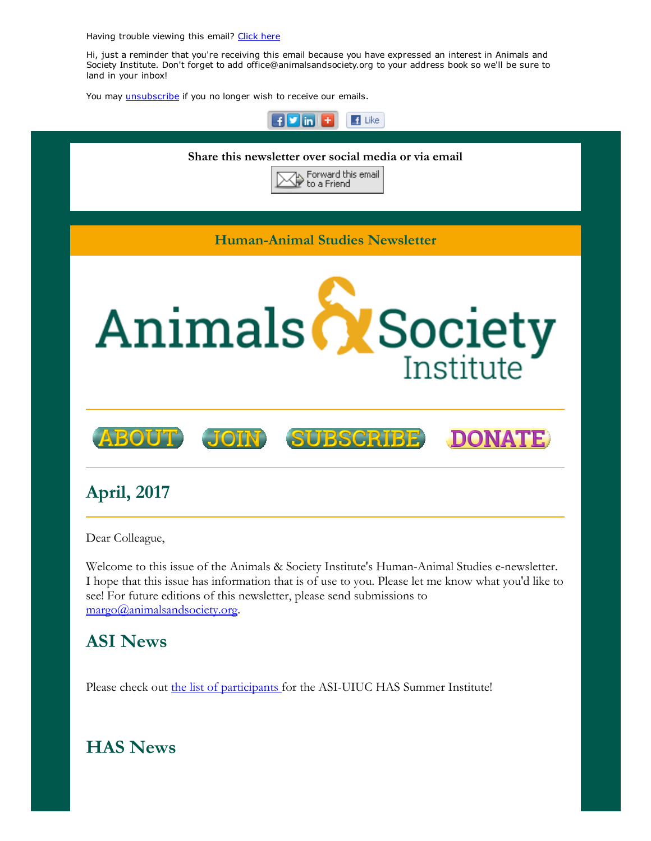Having trouble viewing this email? [Click](http://campaign.r20.constantcontact.com/render?ca=b64bea36-ed90-446e-a326-5d163697523b&preview=true&m=1117082078075&id=preview) here

Hi, just a reminder that you're receiving this email because you have expressed an interest in Animals and Society Institute. Don't forget to add office@animalsandsociety.org to your address book so we'll be sure to land in your inbox!

You may *[unsubscribe](https://visitor.constantcontact.com/do?p=un&mse=0016u8cGCOk4ijLe6EYFlbq8UmlFeKV0nFU&t=001AEFZzk-9N52qx4awb1Azgg%3D%3D&id=001b-xBWU3VMkcM8dYr8taaWXSJRe02Iknl&llr=88spulqab)* if you no longer wish to receive our emails.



I hope that this issue has information that is of use to you. Please let me know what you'd like to see! For future editions of this newsletter, please send submissions to [margo@animalsandsociety.org.](mailto:margo@animalsandsociety.org)

## ASI News

Please check out the list of [participants](https://www.animalsandsociety.org/announcing-2017-asi-uiuc-summer-institute-participants/) for the ASI-UIUC HAS Summer Institute!

# HAS News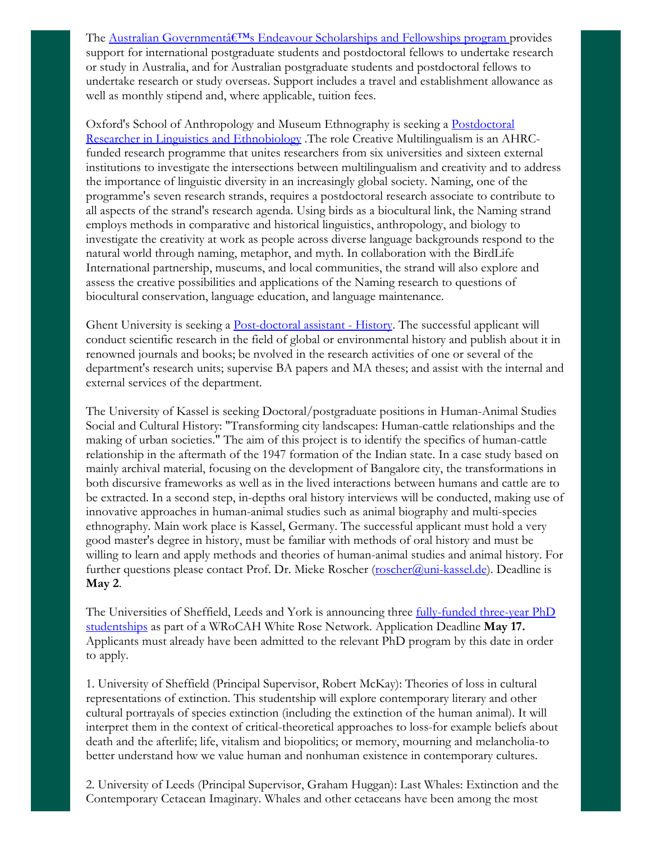The Australian Governmentâ€<sup>™</sup>s Endeavour Scholarships and Fellowships program provides support for international postgraduate students and postdoctoral fellows to undertake research or study in Australia, and for Australian postgraduate students and postdoctoral fellows to undertake research or study overseas. Support includes a travel and establishment allowance as well as monthly stipend and, where applicable, tuition fees.

Oxford's School of Anthropology and Museum Ethnography is seeking a Postdoctoral Researcher in Linguistics and Ethnobiology .The role Creative [Multilingualism](http://www.anthro.ox.ac.uk/sites/default/files/anthro/documents/media/128465_further_particulars.pdf) is an AHRCfunded research programme that unites researchers from six universities and sixteen external institutions to investigate the intersections between multilingualism and creativity and to address the importance of linguistic diversity in an increasingly global society. Naming, one of the programme's seven research strands, requires a postdoctoral research associate to contribute to all aspects of the strand's research agenda. Using birds as a biocultural link, the Naming strand employs methods in comparative and historical linguistics, anthropology, and biology to investigate the creativity at work as people across diverse language backgrounds respond to the natural world through naming, metaphor, and myth. In collaboration with the BirdLife International partnership, museums, and local communities, the strand will also explore and assess the creative possibilities and applications of the Naming research to questions of biocultural conservation, language education, and language maintenance.

Ghent University is seeking a **[Post-doctoral](http://academicpositions.eu/ad/ghent-university/2017/post-doctoral-assistant-history/99338) assistant** - History. The successful applicant will conduct scientific research in the field of global or environmental history and publish about it in renowned journals and books; be nvolved in the research activities of one or several of the department's research units; supervise BA papers and MA theses; and assist with the internal and external services of the department.

The University of Kassel is seeking Doctoral/postgraduate positions in Human-Animal Studies Social and Cultural History: "Transforming city landscapes: Human-cattle relationships and the making of urban societies." The aim of this project is to identify the specifics of human-cattle relationship in the aftermath of the 1947 formation of the Indian state. In a case study based on mainly archival material, focusing on the development of Bangalore city, the transformations in both discursive frameworks as well as in the lived interactions between humans and cattle are to be extracted. In a second step, in-depths oral history interviews will be conducted, making use of innovative approaches in human-animal studies such as animal biography and multi-species ethnography. Main work place is Kassel, Germany. The successful applicant must hold a very good master's degree in history, must be familiar with methods of oral history and must be willing to learn and apply methods and theories of human-animal studies and animal history. For further questions please contact Prof. Dr. Mieke Roscher [\(roscher@uni-kassel.de\)](mailto:roscher@uni-kassel.de). Deadline is May 2.

The Universities of Sheffield, Leeds and York is announcing three fully-funded three-year PhD [studentships](http://wrocah.ac.uk/new-student/networks/#extinction) as part of a WRoCAH White Rose Network. Application Deadline May 17. Applicants must already have been admitted to the relevant PhD program by this date in order to apply.

1. University of Sheffield (Principal Supervisor, Robert McKay): Theories of loss in cultural representations of extinction. This studentship will explore contemporary literary and other cultural portrayals of species extinction (including the extinction of the human animal). It will interpret them in the context of critical-theoretical approaches to loss-for example beliefs about death and the afterlife; life, vitalism and biopolitics; or memory, mourning and melancholia-to better understand how we value human and nonhuman existence in contemporary cultures.

2. University of Leeds (Principal Supervisor, Graham Huggan): Last Whales: Extinction and the Contemporary Cetacean Imaginary. Whales and other cetaceans have been among the most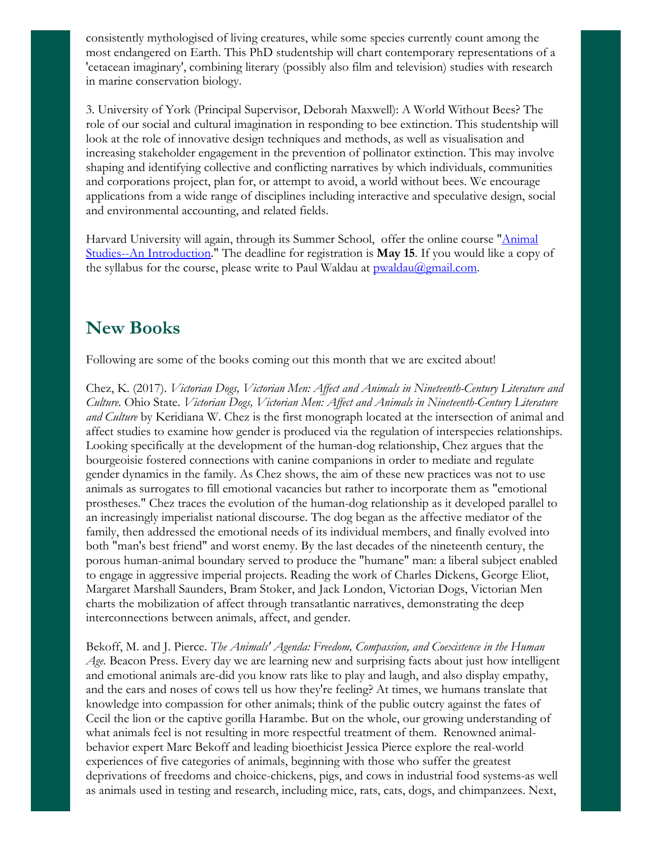consistently mythologised of living creatures, while some species currently count among the most endangered on Earth. This PhD studentship will chart contemporary representations of a 'cetacean imaginary', combining literary (possibly also film and television) studies with research in marine conservation biology.

3. University of York (Principal Supervisor, Deborah Maxwell): A World Without Bees? The role of our social and cultural imagination in responding to bee extinction. This studentship will look at the role of innovative design techniques and methods, as well as visualisation and increasing stakeholder engagement in the prevention of pollinator extinction. This may involve shaping and identifying collective and conflicting narratives by which individuals, communities and corporations project, plan for, or attempt to avoid, a world without bees. We encourage applications from a wide range of disciplines including interactive and speculative design, social and environmental accounting, and related fields.

Harvard University will again, through its Summer School, offer the online course "Animal Studies--An [Introduction."](http://www.summer.harvard.edu/) The deadline for registration is May 15. If you would like a copy of the syllabus for the course, please write to Paul Waldau at **pwaldau@gmail.com**.

#### New Books

Following are some of the books coming out this month that we are excited about!

Chez, K. (2017). *Victorian Dogs, Victorian Men: Af ect and Animals in Nineteenth-Century Literature and Culture*. Ohio State. *Victorian Dogs, Victorian Men: Af ect and Animals in Nineteenth-Century Literature and Culture* by Keridiana W. Chez is the first monograph located at the intersection of animal and affect studies to examine how gender is produced via the regulation of interspecies relationships. Looking specifically at the development of the human-dog relationship, Chez argues that the bourgeoisie fostered connections with canine companions in order to mediate and regulate gender dynamics in the family. As Chez shows, the aim of these new practices was not to use animals as surrogates to fill emotional vacancies but rather to incorporate them as "emotional prostheses." Chez traces the evolution of the human-dog relationship as it developed parallel to an increasingly imperialist national discourse. The dog began as the affective mediator of the family, then addressed the emotional needs of its individual members, and finally evolved into both "man's best friend" and worst enemy. By the last decades of the nineteenth century, the porous human-animal boundary served to produce the "humane" man: a liberal subject enabled to engage in aggressive imperial projects. Reading the work of Charles Dickens, George Eliot, Margaret Marshall Saunders, Bram Stoker, and Jack London, Victorian Dogs, Victorian Men charts the mobilization of affect through transatlantic narratives, demonstrating the deep interconnections between animals, affect, and gender.

Bekoff, M. and J. Pierce. *The Animals' Agenda: Freedom, Compassion, and Coexistence in the Human Age.* Beacon Press. Every day we are learning new and surprising facts about just how intelligent and emotional animals are-did you know rats like to play and laugh, and also display empathy, and the ears and noses of cows tell us how they're feeling? At times, we humans translate that knowledge into compassion for other animals; think of the public outcry against the fates of Cecil the lion or the captive gorilla Harambe. But on the whole, our growing understanding of what animals feel is not resulting in more respectful treatment of them. Renowned animalbehavior expert Marc Bekoff and leading bioethicist Jessica Pierce explore the real-world experiences of five categories of animals, beginning with those who suffer the greatest deprivations of freedoms and choice-chickens, pigs, and cows in industrial food systems-as well as animals used in testing and research, including mice, rats, cats, dogs, and chimpanzees. Next,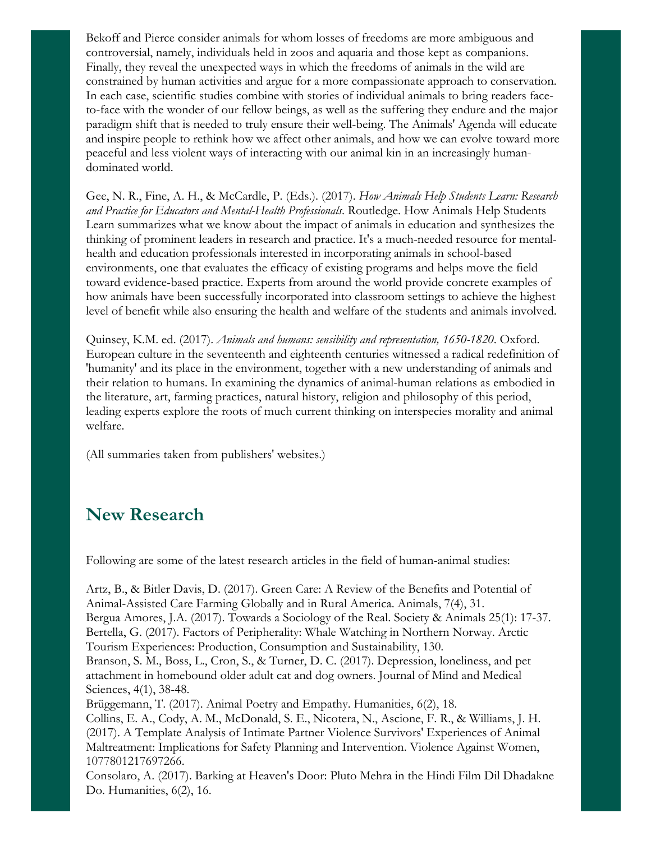Bekoff and Pierce consider animals for whom losses of freedoms are more ambiguous and controversial, namely, individuals held in zoos and aquaria and those kept as companions. Finally, they reveal the unexpected ways in which the freedoms of animals in the wild are constrained by human activities and argue for a more compassionate approach to conservation. In each case, scientific studies combine with stories of individual animals to bring readers faceto-face with the wonder of our fellow beings, as well as the suffering they endure and the major paradigm shift that is needed to truly ensure their well-being. The Animals' Agenda will educate and inspire people to rethink how we affect other animals, and how we can evolve toward more peaceful and less violent ways of interacting with our animal kin in an increasingly humandominated world.

Gee, N. R., Fine, A. H., & McCardle, P. (Eds.). (2017). *How Animals Help Students Learn: Research and Practice for Educators and Mental-Health Professionals*. Routledge. How Animals Help Students Learn summarizes what we know about the impact of animals in education and synthesizes the thinking of prominent leaders in research and practice. It's a much-needed resource for mentalhealth and education professionals interested in incorporating animals in school-based environments, one that evaluates the efficacy of existing programs and helps move the field toward evidence-based practice. Experts from around the world provide concrete examples of how animals have been successfully incorporated into classroom settings to achieve the highest level of benefit while also ensuring the health and welfare of the students and animals involved.

Quinsey, K.M. ed. (2017). *Animals and humans: sensibility and representation, 1650-1820*. Oxford. European culture in the seventeenth and eighteenth centuries witnessed a radical redefinition of 'humanity' and its place in the environment, together with a new understanding of animals and their relation to humans. In examining the dynamics of animal-human relations as embodied in the literature, art, farming practices, natural history, religion and philosophy of this period, leading experts explore the roots of much current thinking on interspecies morality and animal welfare.

(All summaries taken from publishers' websites.)

#### New Research

Following are some of the latest research articles in the field of human-animal studies:

Artz, B., & Bitler Davis, D. (2017). Green Care: A Review of the Benefits and Potential of Animal-Assisted Care Farming Globally and in Rural America. Animals, 7(4), 31. Bergua Amores, J.A. (2017). Towards a Sociology of the Real. Society & Animals 25(1): 17-37. Bertella, G. (2017). Factors of Peripherality: Whale Watching in Northern Norway. Arctic Tourism Experiences: Production, Consumption and Sustainability, 130.

Branson, S. M., Boss, L., Cron, S., & Turner, D. C. (2017). Depression, loneliness, and pet attachment in homebound older adult cat and dog owners. Journal of Mind and Medical Sciences, 4(1), 38-48.

Brüggemann, T. (2017). Animal Poetry and Empathy. Humanities, 6(2), 18.

Collins, E. A., Cody, A. M., McDonald, S. E., Nicotera, N., Ascione, F. R., & Williams, J. H. (2017). A Template Analysis of Intimate Partner Violence Survivors' Experiences of Animal Maltreatment: Implications for Safety Planning and Intervention. Violence Against Women, 1077801217697266.

Consolaro, A. (2017). Barking at Heaven's Door: Pluto Mehra in the Hindi Film Dil Dhadakne Do. Humanities, 6(2), 16.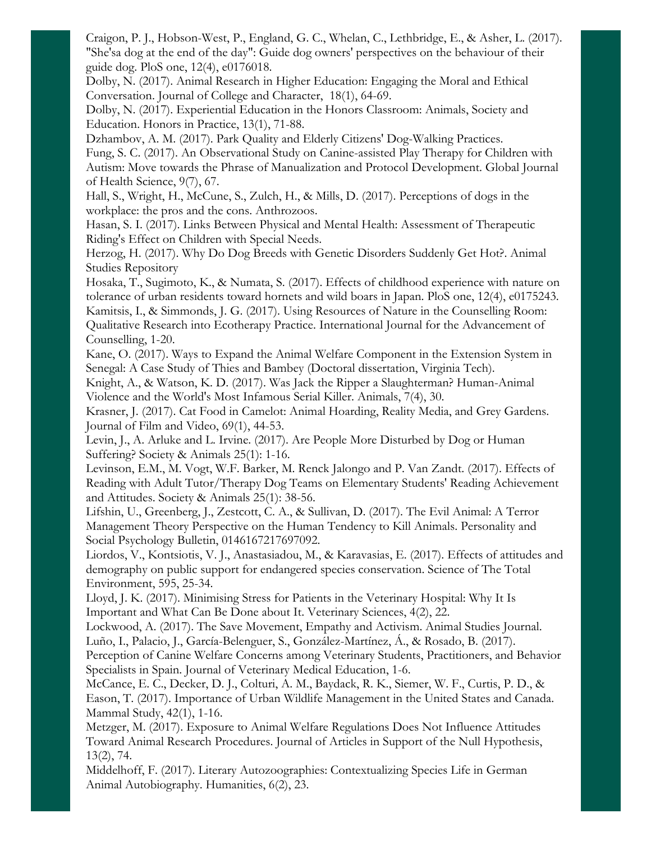Craigon, P. J., Hobson-West, P., England, G. C., Whelan, C., Lethbridge, E., & Asher, L. (2017). "She'sa dog at the end of the day": Guide dog owners' perspectives on the behaviour of their guide dog. PloS one, 12(4), e0176018.

Dolby, N. (2017). Animal Research in Higher Education: Engaging the Moral and Ethical Conversation. Journal of College and Character, 18(1), 64-69.

Dolby, N. (2017). Experiential Education in the Honors Classroom: Animals, Society and Education. Honors in Practice, 13(1), 71-88.

Dzhambov, A. M. (2017). Park Quality and Elderly Citizens' Dog-Walking Practices. Fung, S. C. (2017). An Observational Study on Canine-assisted Play Therapy for Children with Autism: Move towards the Phrase of Manualization and Protocol Development. Global Journal of Health Science, 9(7), 67.

Hall, S., Wright, H., McCune, S., Zulch, H., & Mills, D. (2017). Perceptions of dogs in the workplace: the pros and the cons. Anthrozoos.

Hasan, S. I. (2017). Links Between Physical and Mental Health: Assessment of Therapeutic Riding's Effect on Children with Special Needs.

Herzog, H. (2017). Why Do Dog Breeds with Genetic Disorders Suddenly Get Hot?. Animal Studies Repository

Hosaka, T., Sugimoto, K., & Numata, S. (2017). Effects of childhood experience with nature on tolerance of urban residents toward hornets and wild boars in Japan. PloS one, 12(4), e0175243. Kamitsis, I., & Simmonds, J. G. (2017). Using Resources of Nature in the Counselling Room: Qualitative Research into Ecotherapy Practice. International Journal for the Advancement of Counselling, 1-20.

Kane, O. (2017). Ways to Expand the Animal Welfare Component in the Extension System in Senegal: A Case Study of Thies and Bambey (Doctoral dissertation, Virginia Tech).

Knight, A., & Watson, K. D. (2017). Was Jack the Ripper a Slaughterman? Human-Animal Violence and the World's Most Infamous Serial Killer. Animals, 7(4), 30.

Krasner, J. (2017). Cat Food in Camelot: Animal Hoarding, Reality Media, and Grey Gardens. Journal of Film and Video, 69(1), 44-53.

Levin, J., A. Arluke and L. Irvine. (2017). Are People More Disturbed by Dog or Human Suffering? Society & Animals 25(1): 1-16.

Levinson, E.M., M. Vogt, W.F. Barker, M. Renck Jalongo and P. Van Zandt. (2017). Effects of Reading with Adult Tutor/Therapy Dog Teams on Elementary Students' Reading Achievement and Attitudes. Society & Animals 25(1): 38-56.

Lifshin, U., Greenberg, J., Zestcott, C. A., & Sullivan, D. (2017). The Evil Animal: A Terror Management Theory Perspective on the Human Tendency to Kill Animals. Personality and Social Psychology Bulletin, 0146167217697092.

Liordos, V., Kontsiotis, V. J., Anastasiadou, M., & Karavasias, E. (2017). Effects of attitudes and demography on public support for endangered species conservation. Science of The Total Environment, 595, 25-34.

Lloyd, J. K. (2017). Minimising Stress for Patients in the Veterinary Hospital: Why It Is Important and What Can Be Done about It. Veterinary Sciences, 4(2), 22.

Lockwood, A. (2017). The Save Movement, Empathy and Activism. Animal Studies Journal. Luño, I., Palacio, J., García-Belenguer, S., González-Martínez, Á., & Rosado, B. (2017).

Perception of Canine Welfare Concerns among Veterinary Students, Practitioners, and Behavior Specialists in Spain. Journal of Veterinary Medical Education, 1-6.

McCance, E. C., Decker, D. J., Colturi, A. M., Baydack, R. K., Siemer, W. F., Curtis, P. D., & Eason, T. (2017). Importance of Urban Wildlife Management in the United States and Canada. Mammal Study, 42(1), 1-16.

Metzger, M. (2017). Exposure to Animal Welfare Regulations Does Not Influence Attitudes Toward Animal Research Procedures. Journal of Articles in Support of the Null Hypothesis, 13(2), 74.

Middelhoff, F. (2017). Literary Autozoographies: Contextualizing Species Life in German Animal Autobiography. Humanities, 6(2), 23.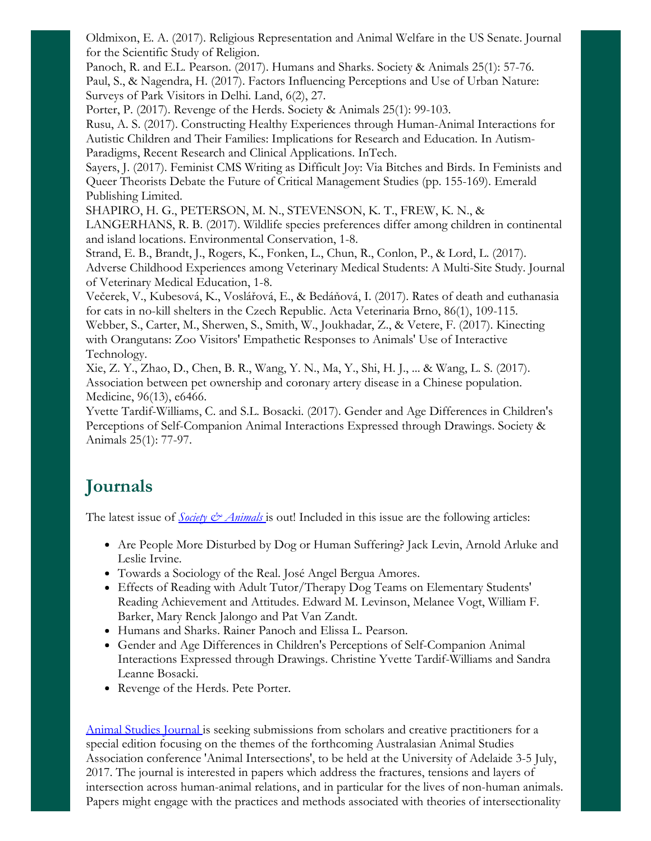Oldmixon, E. A. (2017). Religious Representation and Animal Welfare in the US Senate. Journal for the Scientific Study of Religion.

Panoch, R. and E.L. Pearson. (2017). Humans and Sharks. Society & Animals 25(1): 57-76. Paul, S., & Nagendra, H. (2017). Factors Influencing Perceptions and Use of Urban Nature: Surveys of Park Visitors in Delhi. Land, 6(2), 27.

Porter, P. (2017). Revenge of the Herds. Society & Animals 25(1): 99-103.

Rusu, A. S. (2017). Constructing Healthy Experiences through Human-Animal Interactions for Autistic Children and Their Families: Implications for Research and Education. In Autism-Paradigms, Recent Research and Clinical Applications. InTech.

Sayers, J. (2017). Feminist CMS Writing as Difficult Joy: Via Bitches and Birds. In Feminists and Queer Theorists Debate the Future of Critical Management Studies (pp. 155-169). Emerald Publishing Limited.

SHAPIRO, H. G., PETERSON, M. N., STEVENSON, K. T., FREW, K. N., &

LANGERHANS, R. B. (2017). Wildlife species preferences differ among children in continental and island locations. Environmental Conservation, 1-8.

Strand, E. B., Brandt, J., Rogers, K., Fonken, L., Chun, R., Conlon, P., & Lord, L. (2017). Adverse Childhood Experiences among Veterinary Medical Students: A Multi-Site Study. Journal of Veterinary Medical Education, 1-8.

Večerek, V., Kubesová, K., Voslářová, E., & Bedáňová, I. (2017). Rates of death and euthanasia for cats in no-kill shelters in the Czech Republic. Acta Veterinaria Brno, 86(1), 109-115.

Webber, S., Carter, M., Sherwen, S., Smith, W., Joukhadar, Z., & Vetere, F. (2017). Kinecting with Orangutans: Zoo Visitors' Empathetic Responses to Animals' Use of Interactive Technology.

Xie, Z. Y., Zhao, D., Chen, B. R., Wang, Y. N., Ma, Y., Shi, H. J., ... & Wang, L. S. (2017). Association between pet ownership and coronary artery disease in a Chinese population. Medicine, 96(13), e6466.

Yvette Tardif-Williams, C. and S.L. Bosacki. (2017). Gender and Age Differences in Children's Perceptions of Self-Companion Animal Interactions Expressed through Drawings. Society & Animals 25(1): 77-97.

# Journals

The latest issue of *Society*  $\Diamond$  *[Animals](http://booksandjournals.brillonline.com/content/journals/15685306)* is out! Included in this issue are the following articles:

- Are People More Disturbed by Dog or Human Suffering? Jack Levin, Arnold Arluke and Leslie Irvine.
- Towards a Sociology of the Real. José Angel Bergua Amores.
- Effects of Reading with Adult Tutor/Therapy Dog Teams on Elementary Students' Reading Achievement and Attitudes. Edward M. Levinson, Melanee Vogt, William F. Barker, Mary Renck Jalongo and Pat Van Zandt.
- Humans and Sharks. Rainer Panoch and Elissa L. Pearson.
- Gender and Age Differences in Children's Perceptions of Self-Companion Animal Interactions Expressed through Drawings. Christine Yvette Tardif-Williams and Sandra Leanne Bosacki.
- Revenge of the Herds. Pete Porter.

Animal Studies [Journal](http://ro.uow.edu.au/cgi/submit.cgi?context=asj) is seeking submissions from scholars and creative practitioners for a special edition focusing on the themes of the forthcoming Australasian Animal Studies Association conference 'Animal Intersections', to be held at the University of Adelaide 3-5 July, 2017. The journal is interested in papers which address the fractures, tensions and layers of intersection across human-animal relations, and in particular for the lives of non-human animals. Papers might engage with the practices and methods associated with theories of intersectionality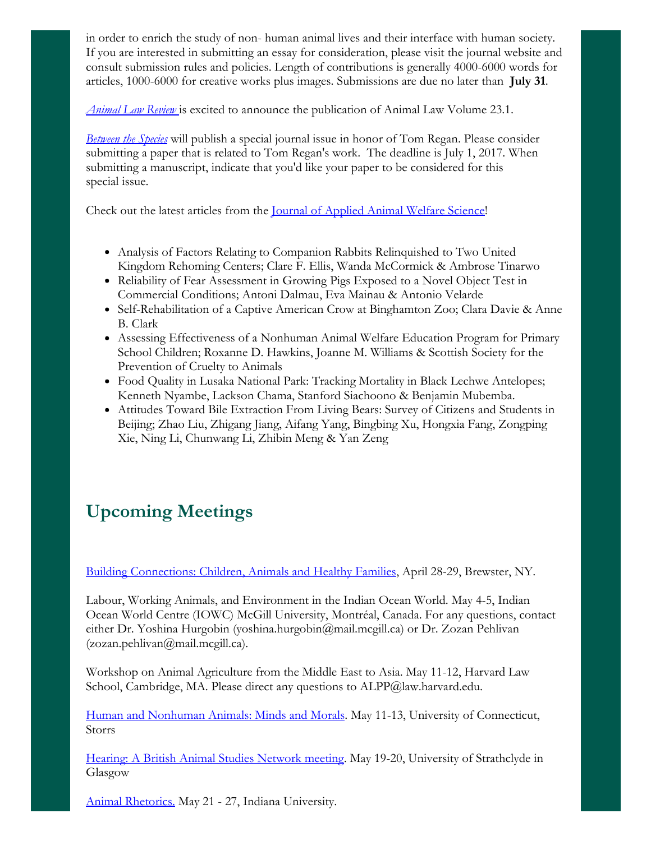in order to enrich the study of non- human animal lives and their interface with human society. If you are interested in submitting an essay for consideration, please visit the journal website and consult submission rules and policies. Length of contributions is generally 4000-6000 words for articles, 1000-6000 for creative works plus images. Submissions are due no later than July 31.

*[Animal](https://law.lclark.edu/law_reviews/animal_law_review/past_issues/current.php) Law Review* is excited to announce the publication of Animal Law Volume 23.1.

*[Between](http://digitalcommons.calpoly.edu/bts/submission_guidelines.html) the Species* will publish a special journal issue in honor of Tom Regan. Please consider submitting a paper that is related to Tom Regan's work. The deadline is July 1, 2017. When submitting a manuscript, indicate that you'd like your paper to be considered for this special issue.

Check out the latest articles from the Journal of [Applied](http://www.tandfonline.com/toc/haaw20/current) Animal Welfare Science!

- Analysis of Factors Relating to Companion Rabbits Relinquished to Two United Kingdom Rehoming Centers; Clare F. Ellis, Wanda McCormick & Ambrose Tinarwo
- Reliability of Fear Assessment in Growing Pigs Exposed to a Novel Object Test in Commercial Conditions; Antoni Dalmau, Eva Mainau & Antonio Velarde
- Self-Rehabilitation of a Captive American Crow at Binghamton Zoo; Clara Davie & Anne B. Clark
- Assessing Effectiveness of a Nonhuman Animal Welfare Education Program for Primary School Children; Roxanne D. Hawkins, Joanne M. Williams & Scottish Society for the Prevention of Cruelty to Animals
- Food Quality in Lusaka National Park: Tracking Mortality in Black Lechwe Antelopes; Kenneth Nyambe, Lackson Chama, Stanford Siachoono & Benjamin Mubemba.
- Attitudes Toward Bile Extraction From Living Bears: Survey of Citizens and Students in Beijing; Zhao Liu, Zhigang Jiang, Aifang Yang, Bingbing Xu, Hongxia Fang, Zongping Xie, Ning Li, Chunwang Li, Zhibin Meng & Yan Zeng

# Upcoming Meetings

Building [Connections:](http://www.greenchimneys.org/hai2017/) Children, Animals and Healthy Families, April 28-29, Brewster, NY.

Labour, Working Animals, and Environment in the Indian Ocean World. May 4-5, Indian Ocean World Centre (IOWC) McGill University, Montréal, Canada. For any questions, contact either Dr. Yoshina Hurgobin (yoshina.hurgobin@mail.mcgill.ca) or Dr. Zozan Pehlivan (zozan.pehlivan@mail.mcgill.ca).

Workshop on Animal Agriculture from the Middle East to Asia. May 11-12, Harvard Law School, Cambridge, MA. Please direct any questions to ALPP@law.harvard.edu.

Human and [Nonhuman](http://associationdatabase.com/aws/RSA/pt/sd/news_article/124882/_blank/layout_details/false) Animals: Minds and Morals. May 11-13, University of Connecticut, Storrs

Hearing: A British Animal Studies [Network](http://www.britishanimalstudiesnetwork.org.uk/FutureMeetings/Hearing.aspx) meeting. May 19-20, University of Strathclyde in Glasgow

Animal [Rhetorics.](http://associationdatabase.com/aws/RSA/pt/sd/news_article/124882/_blank/layout_details/false) May 21 - 27, Indiana University.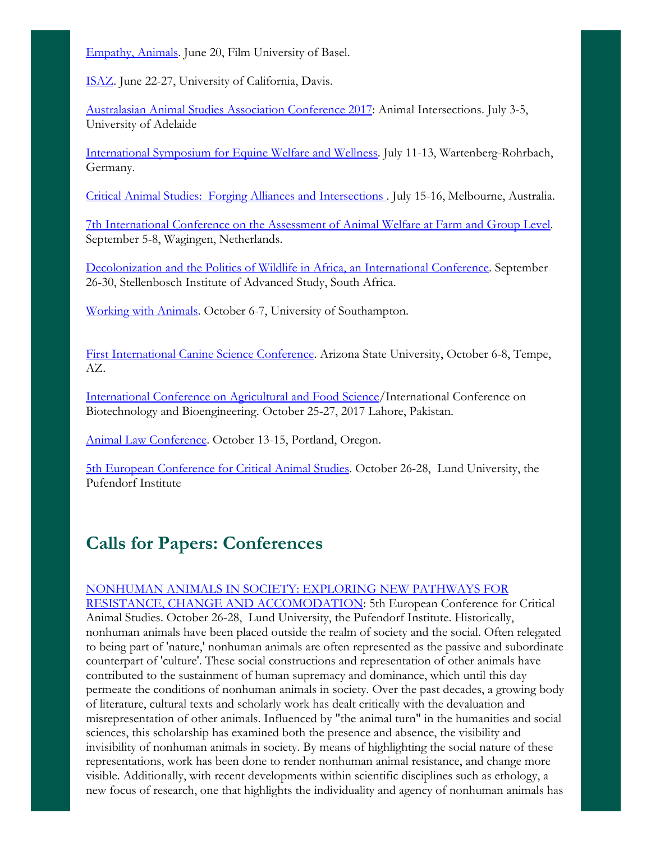[Empathy,](http://www.empathies2017.com/) Animals. June 20, Film University of Basel.

[ISAZ.](http://www.isaz.net/isaz/conferences/) June 22-27, University of California, Davis.

[Australasian](http://aasa2017.com.au/#_home) Animal Studies Association Conference 2017: Animal Intersections. July 3-5, University of Adelaide

[International](http://www.mindsnmotionsymposium.org/) Symposium for Equine Welfare and Wellness. July 11-13, Wartenberg-Rohrbach, Germany.

Critical Animal Studies: Forging Alliances and [Intersections](http://www.criticalanimalstudies.org/oceania-conference/) . July 15-16, Melbourne, Australia.

7th [International](http://wafl2017.com/) Conference on the Assessment of Animal Welfare at Farm and Group Level. September 5-8, Wagingen, Netherlands.

[Decolonization](https://www.uni-kassel.de/projekte/fileadmin/datas/projekte/tier-mensch-gesellschaft/cfp_decolonization_wildlife.pdf) and the Politics of Wildlife in Africa, an International Conference. September 26-30, Stellenbosch Institute of Advanced Study, South Africa.

[Working](http://www.britishanimalstudiesnetwork.org.uk/FutureMeetings/WorkingwithAnimals.aspx) with Animals. October 6-7, University of Southampton.

First [International](http://clivewynne.wixsite.com/caninescience2017) Canine Science Conference. Arizona State University, October 6-8, Tempe,  $AZ_{\cdot}$ 

[International](http://www.icbb.vu.edu.pk/) Conference on Agricultural and Food Science/International Conference on Biotechnology and Bioengineering. October 25-27, 2017 Lahore, Pakistan.

Animal Law [Conference](http://animallawconference.org/). October 13-15, Portland, Oregon.

5th European [Conference](https://animalsconferencelund.wordpress.com/) for Critical Animal Studies. October 26-28, Lund University, the Pufendorf Institute

## Calls for Papers: Conferences

#### NONHUMAN ANIMALS IN SOCIETY: EXPLORING NEW PATHWAYS FOR

RESISTANCE, CHANGE AND [ACCOMODATION:](https://animalsconferencelund.wordpress.com/) 5th European Conference for Critical Animal Studies. October 26-28, Lund University, the Pufendorf Institute. Historically, nonhuman animals have been placed outside the realm of society and the social. Often relegated to being part of 'nature,' nonhuman animals are often represented as the passive and subordinate counterpart of 'culture'. These social constructions and representation of other animals have contributed to the sustainment of human supremacy and dominance, which until this day permeate the conditions of nonhuman animals in society. Over the past decades, a growing body of literature, cultural texts and scholarly work has dealt critically with the devaluation and misrepresentation of other animals. Influenced by "the animal turn" in the humanities and social sciences, this scholarship has examined both the presence and absence, the visibility and invisibility of nonhuman animals in society. By means of highlighting the social nature of these representations, work has been done to render nonhuman animal resistance, and change more visible. Additionally, with recent developments within scientific disciplines such as ethology, a new focus of research, one that highlights the individuality and agency of nonhuman animals has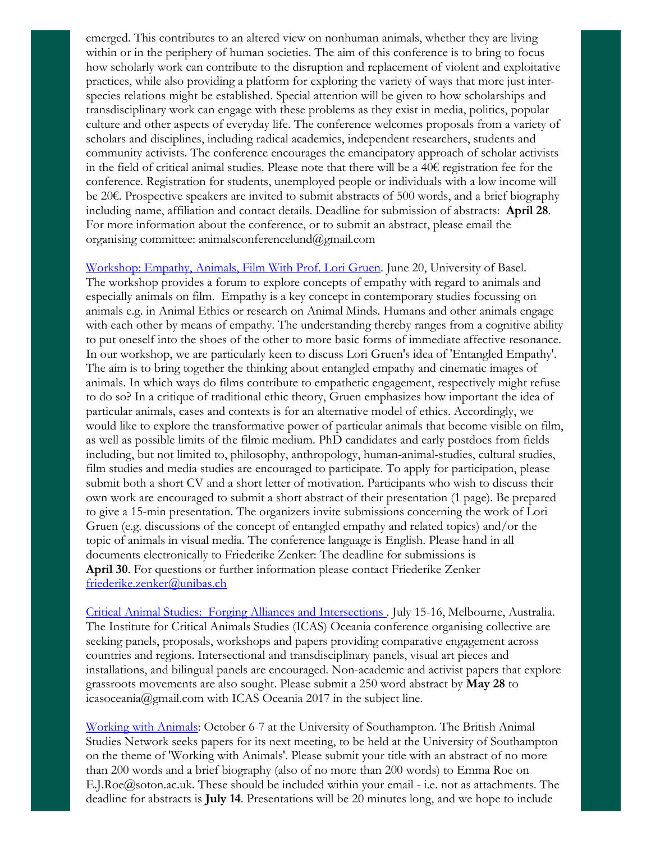emerged. This contributes to an altered view on nonhuman animals, whether they are living within or in the periphery of human societies. The aim of this conference is to bring to focus how scholarly work can contribute to the disruption and replacement of violent and exploitative practices, while also providing a platform for exploring the variety of ways that more just interspecies relations might be established. Special attention will be given to how scholarships and transdisciplinary work can engage with these problems as they exist in media, politics, popular culture and other aspects of everyday life. The conference welcomes proposals from a variety of scholars and disciplines, including radical academics, independent researchers, students and community activists. The conference encourages the emancipatory approach of scholar activists in the field of critical animal studies. Please note that there will be a 40€ registration fee for the conference. Registration for students, unemployed people or individuals with a low income will be 20€. Prospective speakers are invited to submit abstracts of 500 words, and a brief biography including name, affiliation and contact details. Deadline for submission of abstracts: April 28. For more information about the conference, or to submit an abstract, please email the organising committee: animalsconferencelund@gmail.com

[Workshop:](http://www.empathies2017.com/) Empathy, Animals, Film With Prof. Lori Gruen. June 20, University of Basel. The workshop provides a forum to explore concepts of empathy with regard to animals and especially animals on film. Empathy is a key concept in contemporary studies focussing on animals e.g. in Animal Ethics or research on Animal Minds. Humans and other animals engage with each other by means of empathy. The understanding thereby ranges from a cognitive ability to put oneself into the shoes of the other to more basic forms of immediate affective resonance. In our workshop, we are particularly keen to discuss Lori Gruen's idea of 'Entangled Empathy'. The aim is to bring together the thinking about entangled empathy and cinematic images of animals. In which ways do films contribute to empathetic engagement, respectively might refuse to do so? In a critique of traditional ethic theory, Gruen emphasizes how important the idea of particular animals, cases and contexts is for an alternative model of ethics. Accordingly, we would like to explore the transformative power of particular animals that become visible on film, as well as possible limits of the filmic medium. PhD candidates and early postdocs from fields including, but not limited to, philosophy, anthropology, human-animal-studies, cultural studies, film studies and media studies are encouraged to participate. To apply for participation, please submit both a short CV and a short letter of motivation. Participants who wish to discuss their own work are encouraged to submit a short abstract of their presentation (1 page). Be prepared to give a 15-min presentation. The organizers invite submissions concerning the work of Lori Gruen (e.g. discussions of the concept of entangled empathy and related topics) and/or the topic of animals in visual media. The conference language is English. Please hand in all documents electronically to Friederike Zenker: The deadline for submissions is April 30. For questions or further information please contact Friederike Zenker [friederike.zenker@unibas.ch](mailto:friederike.zenker@unibas.ch)

Critical Animal Studies: Forging Alliances and [Intersections](http://www.criticalanimalstudies.org/oceania-conference/) . July 15-16, Melbourne, Australia. The Institute for Critical Animals Studies (ICAS) Oceania conference organising collective are seeking panels, proposals, workshops and papers providing comparative engagement across countries and regions. Intersectional and transdisciplinary panels, visual art pieces and installations, and bilingual panels are encouraged. Non-academic and activist papers that explore grassroots movements are also sought. Please submit a 250 word abstract by May 28 to icasoceania@gmail.com with ICAS Oceania 2017 in the subject line.

[Working](http://www.britishanimalstudiesnetwork.org.uk/FutureMeetings/WorkingwithAnimals.aspx) with Animals: October 6-7 at the University of Southampton. The British Animal Studies Network seeks papers for its next meeting, to be held at the University of Southampton on the theme of 'Working with Animals'. Please submit your title with an abstract of no more than 200 words and a brief biography (also of no more than 200 words) to Emma Roe on E.J.Roe@soton.ac.uk. These should be included within your email - i.e. not as attachments. The deadline for abstracts is July 14. Presentations will be 20 minutes long, and we hope to include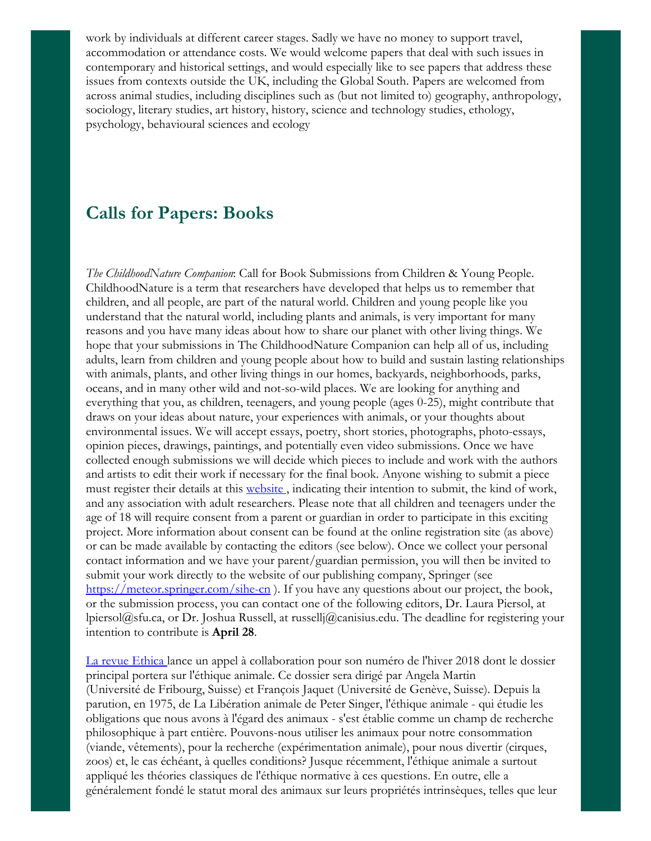work by individuals at different career stages. Sadly we have no money to support travel, accommodation or attendance costs. We would welcome papers that deal with such issues in contemporary and historical settings, and would especially like to see papers that address these issues from contexts outside the UK, including the Global South. Papers are welcomed from across animal studies, including disciplines such as (but not limited to) geography, anthropology, sociology, literary studies, art history, history, science and technology studies, ethology, psychology, behavioural sciences and ecology

#### Calls for Papers: Books

*The ChildhoodNature Companion*: Call for Book Submissions from Children & Young People. ChildhoodNature is a term that researchers have developed that helps us to remember that children, and all people, are part of the natural world. Children and young people like you understand that the natural world, including plants and animals, is very important for many reasons and you have many ideas about how to share our planet with other living things. We hope that your submissions in The ChildhoodNature Companion can help all of us, including adults, learn from children and young people about how to build and sustain lasting relationships with animals, plants, and other living things in our homes, backyards, neighborhoods, parks, oceans, and in many other wild and not-so-wild places. We are looking for anything and everything that you, as children, teenagers, and young people (ages 0-25), might contribute that draws on your ideas about nature, your experiences with animals, or your thoughts about environmental issues. We will accept essays, poetry, short stories, photographs, photo-essays, opinion pieces, drawings, paintings, and potentially even video submissions. Once we have collected enough submissions we will decide which pieces to include and work with the authors and artists to edit their work if necessary for the final book. Anyone wishing to submit a piece must register their details at this [website](https://www.surveymonkey.com/r/ChildhoodNature_Companion_Rego) , indicating their intention to submit, the kind of work, and any association with adult researchers. Please note that all children and teenagers under the age of 18 will require consent from a parent or guardian in order to participate in this exciting project. More information about consent can be found at the online registration site (as above) or can be made available by contacting the editors (see below). Once we collect your personal contact information and we have your parent/guardian permission, you will then be invited to submit your work directly to the website of our publishing company, Springer (see <https://meteor.springer.com/sihe-cn> ). If you have any questions about our project, the book, or the submission process, you can contact one of the following editors, Dr. Laura Piersol, at lpiersol@sfu.ca, or Dr. Joshua Russell, at russellj@canisius.edu. The deadline for registering your intention to contribute is April 28.

La revue [Ethica](http://www.animal-ethics.org/appel-a-collaboration-dossier-de-la-revue-ethica-sur-letique-animale/) lance un appel à collaboration pour son numéro de l'hiver 2018 dont le dossier principal portera sur l'éthique animale. Ce dossier sera dirigé par Angela Martin (Université de Fribourg, Suisse) et François Jaquet (Université de Genève, Suisse). Depuis la parution, en 1975, de La Libération animale de Peter Singer, l'éthique animale - qui étudie les obligations que nous avons à l'égard des animaux - s'est établie comme un champ de recherche philosophique à part entière. Pouvons-nous utiliser les animaux pour notre consommation (viande, vêtements), pour la recherche (expérimentation animale), pour nous divertir (cirques, zoos) et, le cas échéant, à quelles conditions? Jusque récemment, l'éthique animale a surtout appliqué les théories classiques de l'éthique normative à ces questions. En outre, elle a généralement fondé le statut moral des animaux sur leurs propriétés intrinsèques, telles que leur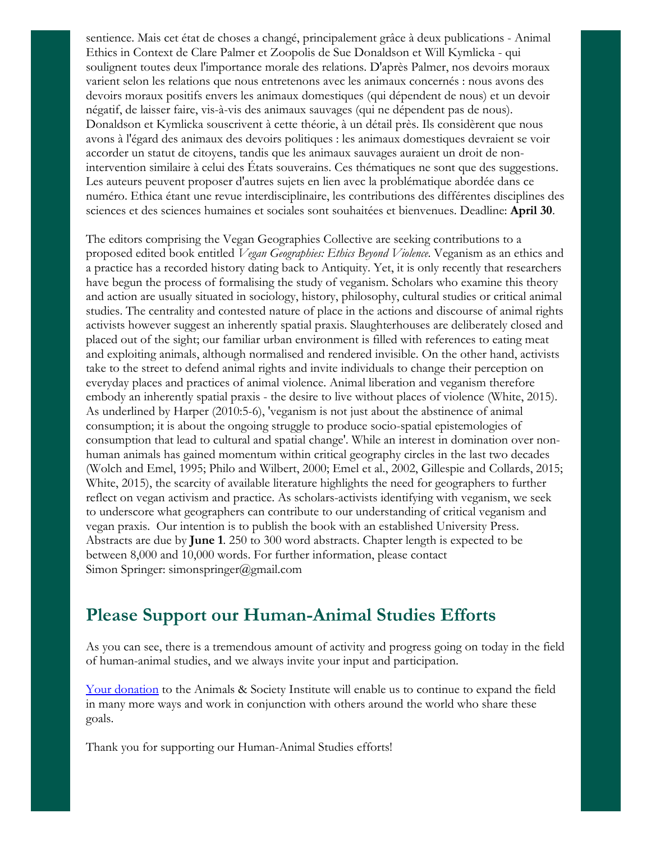sentience. Mais cet état de choses a changé, principalement grâce à deux publications - Animal Ethics in Context de Clare Palmer et Zoopolis de Sue Donaldson et Will Kymlicka - qui soulignent toutes deux l'importance morale des relations. D'après Palmer, nos devoirs moraux varient selon les relations que nous entretenons avec les animaux concernés : nous avons des devoirs moraux positifs envers les animaux domestiques (qui dépendent de nous) et un devoir négatif, de laisser faire, vis-à-vis des animaux sauvages (qui ne dépendent pas de nous). Donaldson et Kymlicka souscrivent à cette théorie, à un détail près. Ils considèrent que nous avons à l'égard des animaux des devoirs politiques : les animaux domestiques devraient se voir accorder un statut de citoyens, tandis que les animaux sauvages auraient un droit de nonintervention similaire à celui des États souverains. Ces thématiques ne sont que des suggestions. Les auteurs peuvent proposer d'autres sujets en lien avec la problématique abordée dans ce numéro. Ethica étant une revue interdisciplinaire, les contributions des différentes disciplines des sciences et des sciences humaines et sociales sont souhaitées et bienvenues. Deadline: April 30.

The editors comprising the Vegan Geographies Collective are seeking contributions to a proposed edited book entitled *Vegan Geographies: Ethics Beyond Violence*. Veganism as an ethics and a practice has a recorded history dating back to Antiquity. Yet, it is only recently that researchers have begun the process of formalising the study of veganism. Scholars who examine this theory and action are usually situated in sociology, history, philosophy, cultural studies or critical animal studies. The centrality and contested nature of place in the actions and discourse of animal rights activists however suggest an inherently spatial praxis. Slaughterhouses are deliberately closed and placed out of the sight; our familiar urban environment is filled with references to eating meat and exploiting animals, although normalised and rendered invisible. On the other hand, activists take to the street to defend animal rights and invite individuals to change their perception on everyday places and practices of animal violence. Animal liberation and veganism therefore embody an inherently spatial praxis - the desire to live without places of violence (White, 2015). As underlined by Harper (2010:5-6), 'veganism is not just about the abstinence of animal consumption; it is about the ongoing struggle to produce socio-spatial epistemologies of consumption that lead to cultural and spatial change'. While an interest in domination over nonhuman animals has gained momentum within critical geography circles in the last two decades (Wolch and Emel, 1995; Philo and Wilbert, 2000; Emel et al., 2002, Gillespie and Collards, 2015; White, 2015), the scarcity of available literature highlights the need for geographers to further reflect on vegan activism and practice. As scholars-activists identifying with veganism, we seek to underscore what geographers can contribute to our understanding of critical veganism and vegan praxis. Our intention is to publish the book with an established University Press. Abstracts are due by June 1. 250 to 300 word abstracts. Chapter length is expected to be between 8,000 and 10,000 words. For further information, please contact Simon Springer: simonspringer@gmail.com

#### Please Support our Human-Animal Studies Efforts

As you can see, there is a tremendous amount of activity and progress going on today in the field of human-animal studies, and we always invite your input and participation.

Your [donation](https://www.givedirect.org/donate/?cid=4552) to the Animals & Society Institute will enable us to continue to expand the field in many more ways and work in conjunction with others around the world who share these goals.

Thank you for supporting our Human-Animal Studies efforts!